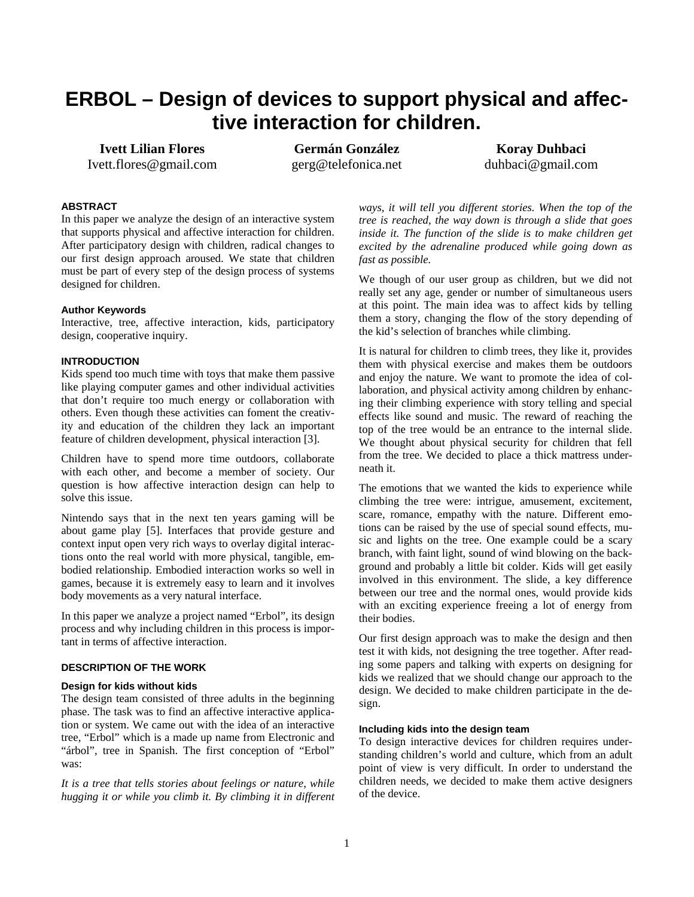# **ERBOL – Design of devices to support physical and affective interaction for children.**

**Ivett Lilian Flores**  Ivett.flores@gmail.com

**Germán González**  gerg@telefonica.net

**Koray Duhbaci**  duhbaci@gmail.com

## **ABSTRACT**

In this paper we analyze the design of an interactive system that supports physical and affective interaction for children. After participatory design with children, radical changes to our first design approach aroused. We state that children must be part of every step of the design process of systems designed for children.

## **Author Keywords**

Interactive, tree, affective interaction, kids, participatory design, cooperative inquiry.

## **INTRODUCTION**

Kids spend too much time with toys that make them passive like playing computer games and other individual activities that don't require too much energy or collaboration with others. Even though these activities can foment the creativity and education of the children they lack an important feature of children development, physical interaction [3].

Children have to spend more time outdoors, collaborate with each other, and become a member of society. Our question is how affective interaction design can help to solve this issue.

Nintendo says that in the next ten years gaming will be about game play [5]. Interfaces that provide gesture and context input open very rich ways to overlay digital interactions onto the real world with more physical, tangible, embodied relationship. Embodied interaction works so well in games, because it is extremely easy to learn and it involves body movements as a very natural interface.

In this paper we analyze a project named "Erbol", its design process and why including children in this process is important in terms of affective interaction.

## **DESCRIPTION OF THE WORK**

## **Design for kids without kids**

The design team consisted of three adults in the beginning phase. The task was to find an affective interactive application or system. We came out with the idea of an interactive tree, "Erbol" which is a made up name from Electronic and "árbol", tree in Spanish. The first conception of "Erbol" was:

*It is a tree that tells stories about feelings or nature, while hugging it or while you climb it. By climbing it in different*  *ways, it will tell you different stories. When the top of the tree is reached, the way down is through a slide that goes inside it. The function of the slide is to make children get excited by the adrenaline produced while going down as fast as possible.* 

We though of our user group as children, but we did not really set any age, gender or number of simultaneous users at this point. The main idea was to affect kids by telling them a story, changing the flow of the story depending of the kid's selection of branches while climbing.

It is natural for children to climb trees, they like it, provides them with physical exercise and makes them be outdoors and enjoy the nature. We want to promote the idea of collaboration, and physical activity among children by enhancing their climbing experience with story telling and special effects like sound and music. The reward of reaching the top of the tree would be an entrance to the internal slide. We thought about physical security for children that fell from the tree. We decided to place a thick mattress underneath it.

The emotions that we wanted the kids to experience while climbing the tree were: intrigue, amusement, excitement, scare, romance, empathy with the nature. Different emotions can be raised by the use of special sound effects, music and lights on the tree. One example could be a scary branch, with faint light, sound of wind blowing on the background and probably a little bit colder. Kids will get easily involved in this environment. The slide, a key difference between our tree and the normal ones, would provide kids with an exciting experience freeing a lot of energy from their bodies.

Our first design approach was to make the design and then test it with kids, not designing the tree together. After reading some papers and talking with experts on designing for kids we realized that we should change our approach to the design. We decided to make children participate in the design.

#### **Including kids into the design team**

To design interactive devices for children requires understanding children's world and culture, which from an adult point of view is very difficult. In order to understand the children needs, we decided to make them active designers of the device.